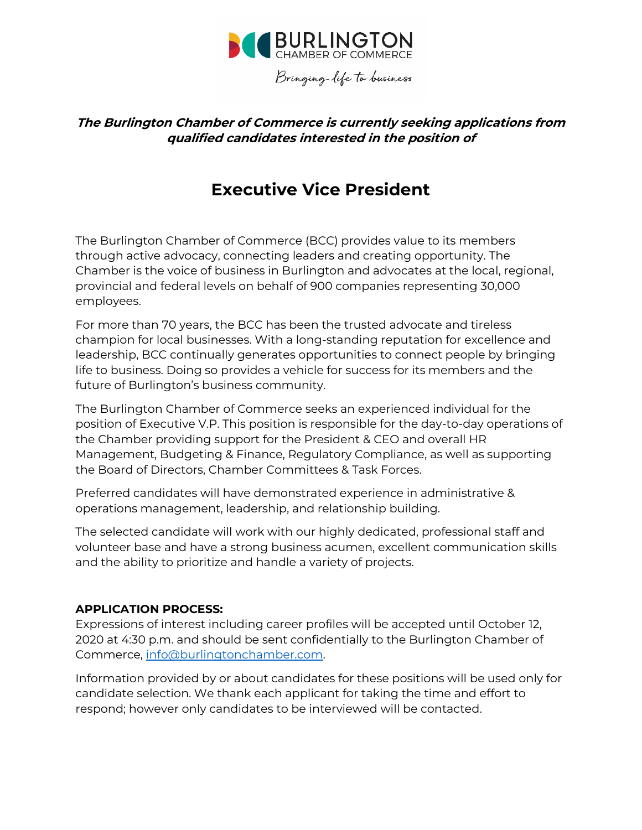

# **The Burlington Chamber of Commerce is currently seeking applications from qualified candidates interested in the position of**

# **Executive Vice President**

The Burlington Chamber of Commerce (BCC) provides value to its members through active advocacy, connecting leaders and creating opportunity. The Chamber is the voice of business in Burlington and advocates at the local, regional, provincial and federal levels on behalf of 900 companies representing 30,000 employees.

For more than 70 years, the BCC has been the trusted advocate and tireless champion for local businesses. With a long-standing reputation for excellence and leadership, BCC continually generates opportunities to connect people by bringing life to business. Doing so provides a vehicle for success for its members and the future of Burlington's business community.

The Burlington Chamber of Commerce seeks an experienced individual for the position of Executive V.P. This position is responsible for the day-to-day operations of the Chamber providing support for the President & CEO and overall HR Management, Budgeting & Finance, Regulatory Compliance, as well as supporting the Board of Directors, Chamber Committees & Task Forces.

Preferred candidates will have demonstrated experience in administrative & operations management, leadership, and relationship building.

The selected candidate will work with our highly dedicated, professional staff and volunteer base and have a strong business acumen, excellent communication skills and the ability to prioritize and handle a variety of projects.

#### **APPLICATION PROCESS:**

Expressions of interest including career profiles will be accepted until October 12, 2020 at 4:30 p.m. and should be sent confidentially to the Burlington Chamber of Commerce, [info@burlingtonchamber.com.](mailto:info@burlingtonchamber.com)

*Information provided by or about candidates for these positions will be used only for candidate selection. We thank each applicant for taking the time and effort to respond; however only candidates to be interviewed will be contacted.*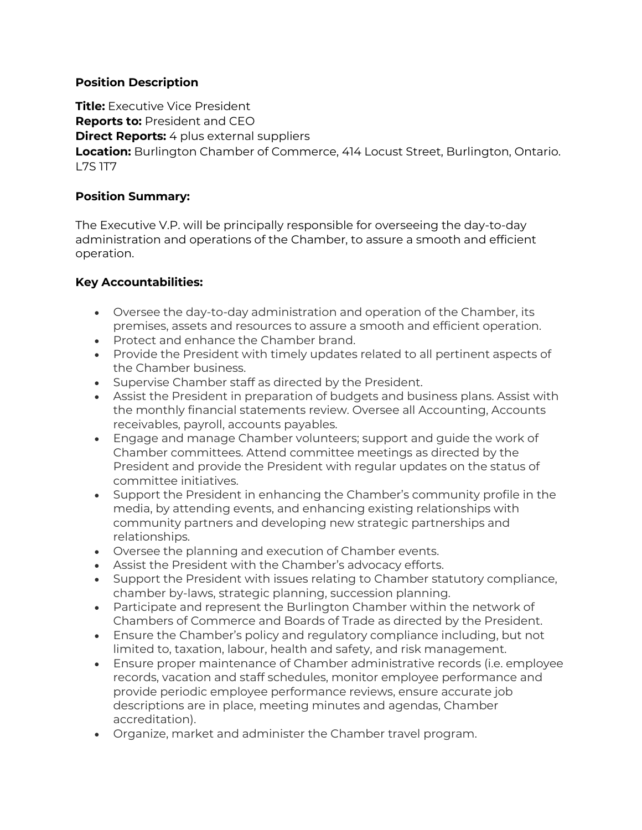#### **Position Description**

**Title:** Executive Vice President

**Reports to:** President and CEO

**Direct Reports:** 4 plus external suppliers

**Location:** Burlington Chamber of Commerce, 414 Locust Street, Burlington, Ontario. L7S 1T7

# **Position Summary:**

The Executive V.P. will be principally responsible for overseeing the day-to-day administration and operations of the Chamber, to assure a smooth and efficient operation.

# **Key Accountabilities:**

- Oversee the day-to-day administration and operation of the Chamber, its premises, assets and resources to assure a smooth and efficient operation.
- Protect and enhance the Chamber brand.
- Provide the President with timely updates related to all pertinent aspects of the Chamber business.
- Supervise Chamber staff as directed by the President.
- Assist the President in preparation of budgets and business plans. Assist with the monthly financial statements review. Oversee all Accounting, Accounts receivables, payroll, accounts payables.
- Engage and manage Chamber volunteers; support and guide the work of Chamber committees. Attend committee meetings as directed by the President and provide the President with regular updates on the status of committee initiatives.
- Support the President in enhancing the Chamber's community profile in the media, by attending events, and enhancing existing relationships with community partners and developing new strategic partnerships and relationships.
- Oversee the planning and execution of Chamber events.
- Assist the President with the Chamber's advocacy efforts.
- Support the President with issues relating to Chamber statutory compliance, chamber by-laws, strategic planning, succession planning.
- Participate and represent the Burlington Chamber within the network of Chambers of Commerce and Boards of Trade as directed by the President.
- Ensure the Chamber's policy and regulatory compliance including, but not limited to, taxation, labour, health and safety, and risk management.
- Ensure proper maintenance of Chamber administrative records (i.e. employee records, vacation and staff schedules, monitor employee performance and provide periodic employee performance reviews, ensure accurate job descriptions are in place, meeting minutes and agendas, Chamber accreditation).
- Organize, market and administer the Chamber travel program.